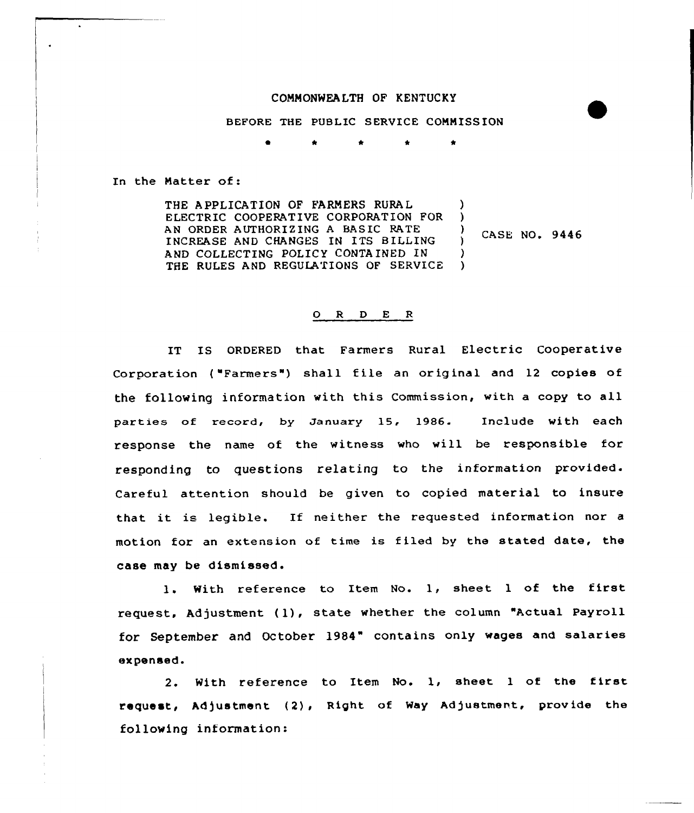## COMMONWEALTH OF KENTUCKY

BEFORE THE PUBLIC SERVICE CONNISS ION

\* \* \* \*

In the Natter of:

 $\ddot{\phantom{a}}$ 

THE A PPLICATION OF FARMERS RURA L ELECTRIC COOPERATIVE CORPORATION FOR AN ORDER AUTHORIZING A BASIC RATE INCREASE AND CHANGES IN ITS B ILLING AND COLLECTING POLICY CONTAINED IN AND COLLECTING POLICY CONTAINED IN (1)<br>THE RULES AND REGULATIONS OF SERVICE (1) ) ) )

CASE NO. 9446 )

## 0 <sup>R</sup> <sup>D</sup> E <sup>R</sup>

IT IS ORDERED that Farmers Rural Electric Cooperative Corporation ("Farmers") shall file an original and 12 copies of the following information with this Commission, with a copy to all parties of record, by January 15. 1986. Include with each response the name of the witness who will be responsible for responding to questions relating to the information provided. Careful attention should be given to copied material to insure that it is legible. If neither the requested information nor <sup>a</sup> motion for an extension of time is filed by the stated date, the case may be dismissed.

l. With reference to Item No. 1, sheet <sup>1</sup> of the first request, Adjustment (1), state whether the column "Actual Payroll for September and October 1984" contains only wages and salaries expensed.

2. With reference to Item No. 1, sheet <sup>1</sup> of the first request, Adjustment (2), Right of Way Adjustment, provide the following information: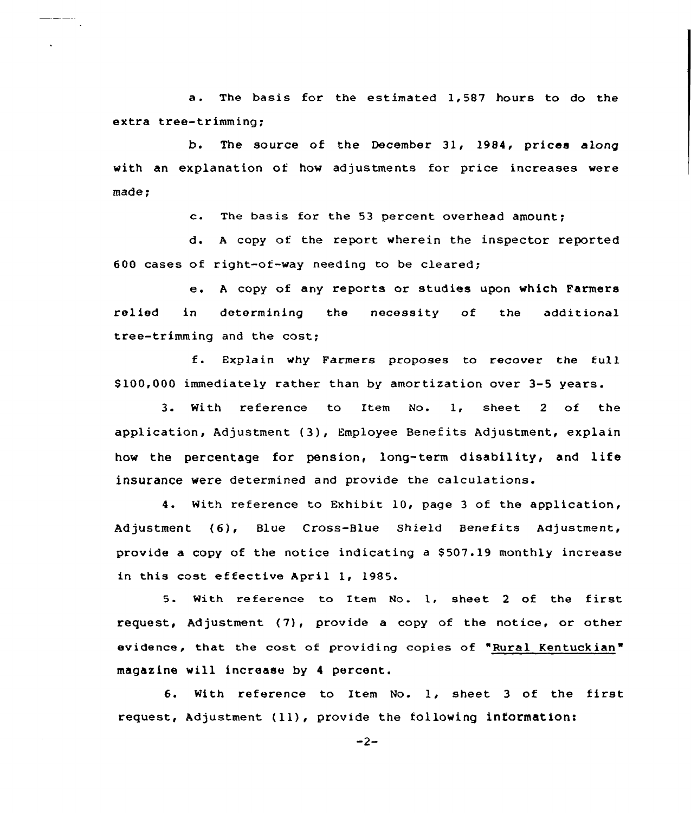a. The basis for the estimated 1,587 hours to do the extra tree-trimming;

b. The source of the December 31, 1984, prices along with an explanation of how adjustments for price increases were made

c. The basis for the <sup>53</sup> percent overhead amount;

d. <sup>A</sup> copy af the report wherein the inspector reported 600 cases of right-of-way needing to be cleared;

e. <sup>A</sup> copy of any reports or studies upon which Farmers relied in determining the necessity of the additional tree-trimming and the cost;

f. Explain why Farmers propases to recover the full \$ 100,000 immediately rather than by amortization over 3-5 years.

<sup>3</sup> <sup>~</sup> With reference to Item No. 1, sheet <sup>2</sup> of the application, Adjustment (3), Employee Benefits Adjustment, explain how the percentage for pension, long-term disability, and life insurance were determined and provide the calculations.

4. With reference to Exhibit 10, page <sup>3</sup> of the application, Adjustment (6), Blue Cross-Blue Shield Benefits Adjustment, provide a copy of the notice indicating a \$507.19 monthly increase in this cast effective April 1, 1985.

5. With reference to Item No. 1, sheet 2 of the first request, Adjustment (7), provide <sup>a</sup> copy of the notice, or other evidence, that the cost of providing copies of "Rural Kentuckian " magazine will increase by <sup>4</sup> percent.

6. With reference to Item No. 1, sheet <sup>3</sup> of the first request, Adjustment (ll), provide the following information:

 $-2-$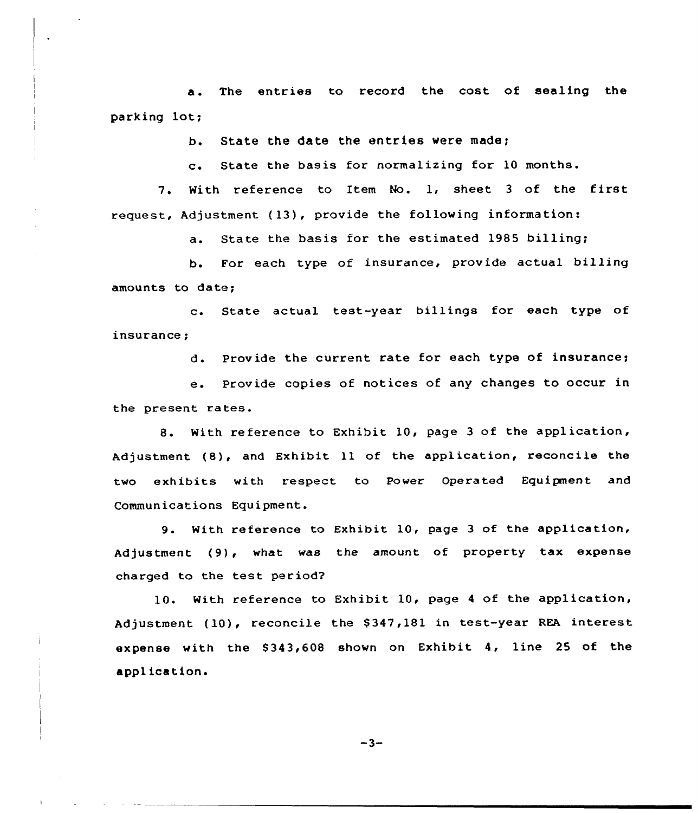a. The entries to record the cost of sealing the parking lot;

b. State the date the entries were made;

c. State the basis for normalizing for <sup>10</sup> months.

7. With reference to Item No. 1, sheet <sup>3</sup> of the first request, Adjustment (13), provide the following information:

a. State the basis for the estimated 1985 billing;

b. For each type of insurance, provide actual billing amounts to dat

c. State actual test-year billings for each type of insurance;

d. Provide the current rate for each type of insurance;

e. Provide copies of notices of any changes to occur in the present rates.

8. With reference to Exhibit 10, page 3 of the application, Adjustment (8), and Exhibit 11 of the application, reconcile the two exhibits with respect to Power Operated Equipment and Communications Equipment.

9. With reference to Exhibit 10, page 3 of the application, Adjustment (9), what was the amount of property tax expense charged to the test period?

10. With reference to Exhibit 10, page <sup>4</sup> of the application, Adjustment (10), reconcile the \$347,181 in test-year REA interest expense with the 8343,608 shown on Exhibit 4, line 25 of the appl ica t ion.

 $-3-$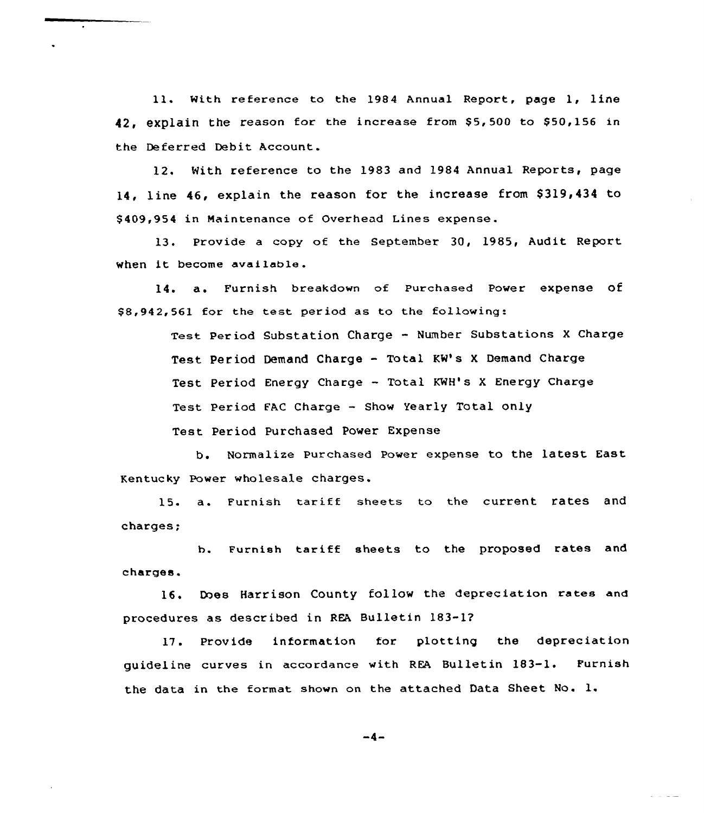11. With reference to the 1984 Annual Report, page 1, line 42, explain the reason for the increase from \$5,500 to \$50,156 in the Deferred Debit Account.

12. With reference to the 1983 and 1984 Annual Reports, page 14, line 46, explain the reason for the increase from \$319,434 to \$ 409,954 in Maintenance of Overhead Lines expense.

13. Provide a copy of the September 30, 1985, Audit Report. When it become available.

14. a. Furnish breakdown of Purchased Power expense Of \$ 8,942,561 for the test. period as to the following:

> Test Period substation Charge — Number substations x charge Test Period Demand Charge - Total KM's <sup>X</sup> Demand Charge Test Period Energy Charge - Total KWH's X Energy Charge Test Period FAC Charge - Show Yearly Total only Test Period Purchased Power Expense

b. Normalize Purchased Power expense to the latest East Kentuc ky Power wholesale charges.

15. a. Furnish tariff sheets to the current rates and charges;

b. Furnish tariff sheets to the proposed rates and charges.

16, Does Harrison County follow the depreciation rates and procedures as described in REA Bulletin 183-1?

17. Provide information for plotting the depreciation guideline curves in accordance with REA Bulletin 183-1. Furnish the data in the format shown on the attached Data Sheet No. l.

 $-4-$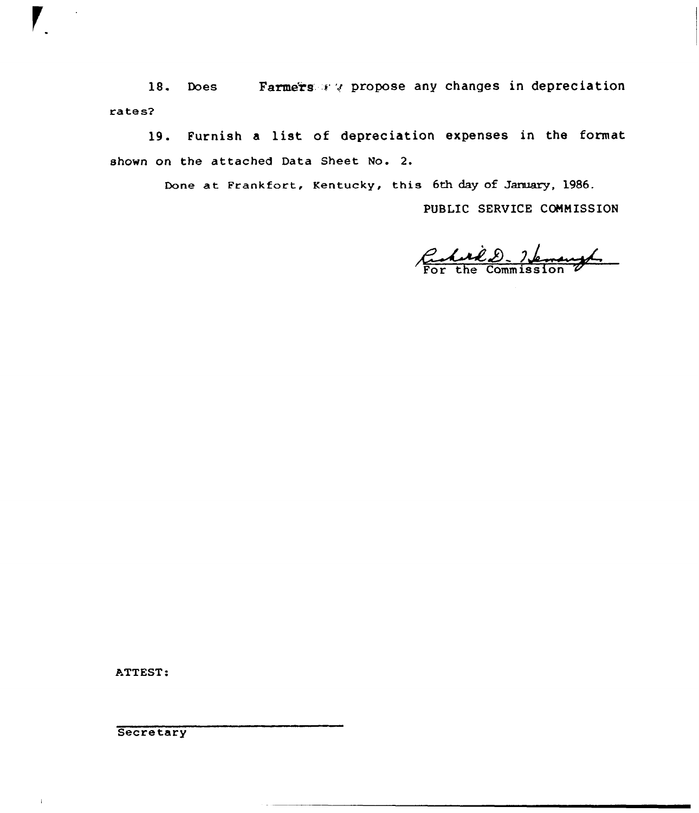18. Does Farmers ry propose any changes in depreciatio rates2

19. Furnish <sup>a</sup> list of depreciation expenses in the format shown on the attached Data Sheet No. 2.

Done at Frankfort, Kentucky, this 6th day of January, 1986.

PUBLIC SERVICE COMMISSION

Reduit D. Henryl

ATTEST:

**Secretary** 

 $\bar{1}$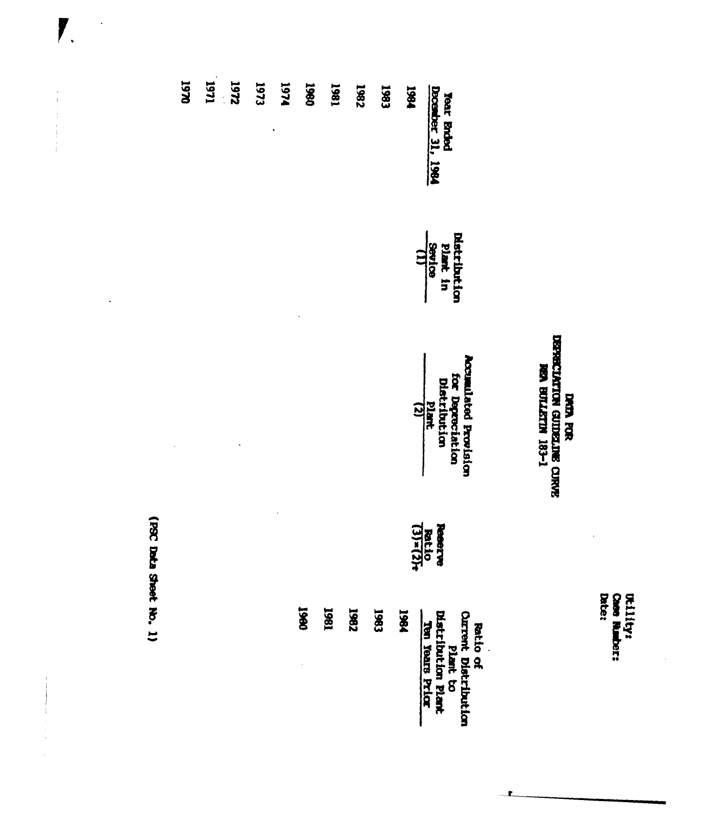Utility:<br>Case Rumber:<br>Date:

 $\ddot{\phantom{0}}$ 

 $\ddot{\phantom{0}}$ 

## DATA FOR<br>USERECLATION GUIDELINE CURVE<br>REA BULLETIN 183-1

1

| 1984 | 1961<br>1982<br>1983 | <b>USED</b> |  |  |
|------|----------------------|-------------|--|--|

(PSC Data Sheet No. 1)

 $\ddot{\phantom{a}}$ 

 $\overline{\mathbf{r}}$ 

 $\begin{aligned} \mathbf{u} & = \mathbf{u} + \mathbf{u} + \mathbf{u} + \mathbf{u} + \mathbf{u} + \mathbf{u} + \mathbf{u} + \mathbf{u} + \mathbf{u} + \mathbf{u} + \mathbf{u} + \mathbf{u} + \mathbf{u} + \mathbf{u} + \mathbf{u} + \mathbf{u} + \mathbf{u} + \mathbf{u} + \mathbf{u} + \mathbf{u} + \mathbf{u} + \mathbf{u} + \mathbf{u} + \mathbf{u} + \mathbf{u} + \mathbf{u} + \mathbf{u} + \mathbf{u} + \mathbf{u} + \mathbf{$ 

 $\begin{array}{c} \begin{array}{c} \hline \end{array} \\ \begin{array}{c} \hline \end{array} \end{array}$ 

 $\frac{1}{2}$   $\ddot{\phantom{0}}$ 

 $\ddot{\phantom{0}}$